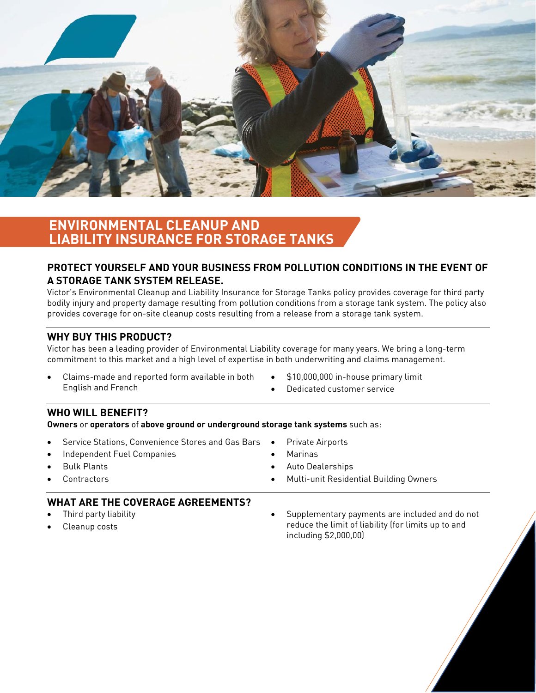

# **ENVIRONMENTAL CLEANUP AND LIABILITY INSURANCE FOR STORAGE TANKS**

# **PROTECT YOURSELF AND YOUR BUSINESS FROM POLLUTION CONDITIONS IN THE EVENT OF A STORAGE TANK SYSTEM RELEASE.**

Victor's Environmental Cleanup and Liability Insurance for Storage Tanks policy provides coverage for third party bodily injury and property damage resulting from pollution conditions from a storage tank system. The policy also provides coverage for on-site cleanup costs resulting from a release from a storage tank system.

#### **WHY BUY THIS PRODUCT?**

Victor has been a leading provider of Environmental Liability coverage for many years. We bring a long-term commitment to this market and a high level of expertise in both underwriting and claims management.

- Claims-made and reported form available in both English and French
- $\bullet$  \$10,000,000 in-house primary limit
- Dedicated customer service

## **WHO WILL BENEFIT?**

**Owners** or **operators** of **above ground or underground storage tank systems** such as:

- Service Stations, Convenience Stores and Gas Bars
- Independent Fuel Companies
- Bulk Plants
- Contractors
- 
- Marinas
	- Auto Dealerships

Private Airports

Multi-unit Residential Building Owners

## **WHAT ARE THE COVERAGE AGREEMENTS?**

- Third party liability
- Cleanup costs

 Supplementary payments are included and do not reduce the limit of liability (for limits up to and including \$2,000,00)